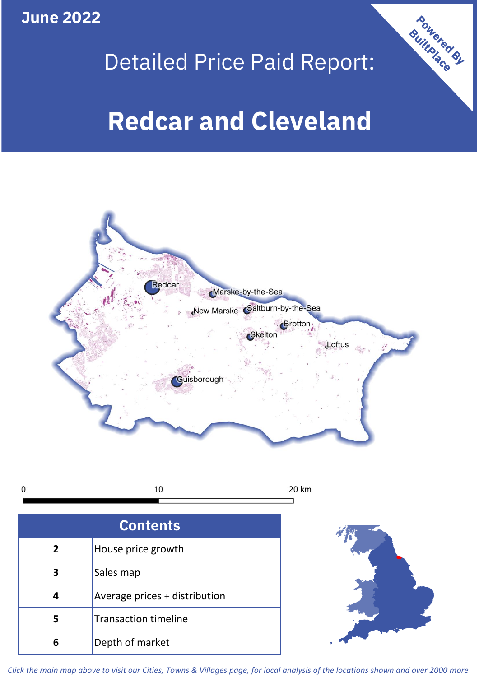**June 2022**

# Detailed Price Paid Report:

# **Redcar and Cleveland**



10  $\mathbf 0$ 20 km

| <b>Contents</b> |                               |  |  |
|-----------------|-------------------------------|--|--|
| $\overline{2}$  | House price growth            |  |  |
| 3               | Sales map                     |  |  |
| 4               | Average prices + distribution |  |  |
| 5               | <b>Transaction timeline</b>   |  |  |
| 6               | Depth of market               |  |  |



Powered By

*Click the main map above to visit our Cities, Towns & Villages page, for local analysis of the locations shown and over 2000 more*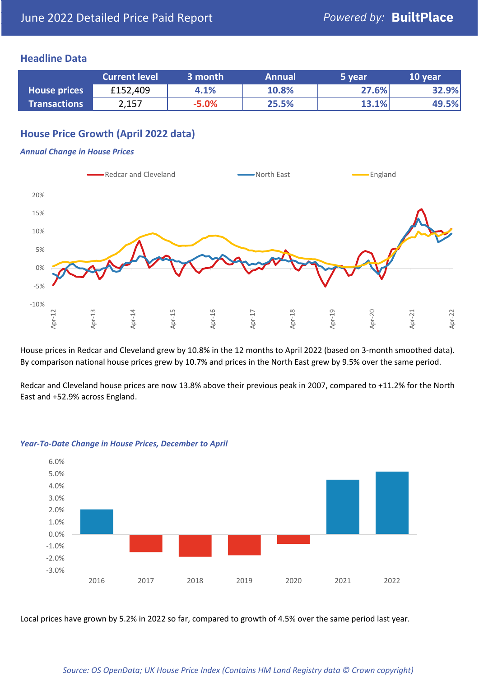## **Headline Data**

|                     | <b>Current level</b> | 3 month | <b>Annual</b> | 5 year | 10 year |
|---------------------|----------------------|---------|---------------|--------|---------|
| <b>House prices</b> | £152,409             | 4.1%    | 10.8%         | 27.6%  | 32.9%   |
| <b>Transactions</b> | 2,157                | $-5.0%$ | 25.5%         | 13.1%  | 49.5%   |

# **House Price Growth (April 2022 data)**

#### *Annual Change in House Prices*



House prices in Redcar and Cleveland grew by 10.8% in the 12 months to April 2022 (based on 3-month smoothed data). By comparison national house prices grew by 10.7% and prices in the North East grew by 9.5% over the same period.

Redcar and Cleveland house prices are now 13.8% above their previous peak in 2007, compared to +11.2% for the North East and +52.9% across England.



#### *Year-To-Date Change in House Prices, December to April*

Local prices have grown by 5.2% in 2022 so far, compared to growth of 4.5% over the same period last year.

#### *Source: OS OpenData; UK House Price Index (Contains HM Land Registry data © Crown copyright)*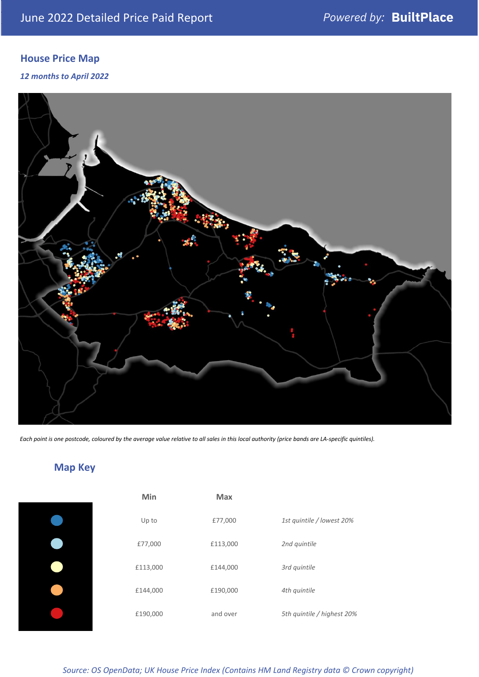# **House Price Map**

*12 months to April 2022*



*Each point is one postcode, coloured by the average value relative to all sales in this local authority (price bands are LA-specific quintiles).*

**Map Key**

| Min      | <b>Max</b> |                            |
|----------|------------|----------------------------|
| Up to    | £77,000    | 1st quintile / lowest 20%  |
| £77,000  | £113,000   | 2nd quintile               |
| £113,000 | £144,000   | 3rd quintile               |
| £144,000 | £190,000   | 4th quintile               |
| £190,000 | and over   | 5th quintile / highest 20% |

#### *Source: OS OpenData; UK House Price Index (Contains HM Land Registry data © Crown copyright)*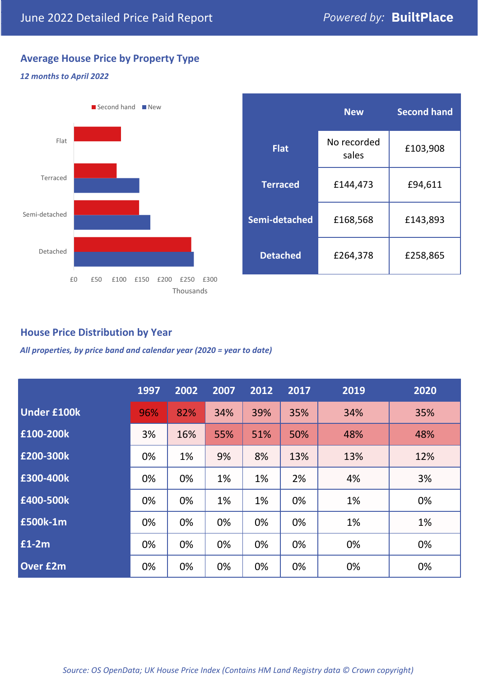# **Average House Price by Property Type**

# *12 months to April 2022*



|                 | <b>New</b>           | <b>Second hand</b> |  |
|-----------------|----------------------|--------------------|--|
| <b>Flat</b>     | No recorded<br>sales | £103,908           |  |
| <b>Terraced</b> | £144,473             | £94,611            |  |
| Semi-detached   | £168,568             | £143,893           |  |
| <b>Detached</b> | £264,378             | £258,865           |  |

# **House Price Distribution by Year**

*All properties, by price band and calendar year (2020 = year to date)*

|                    | 1997 | 2002 | 2007 | 2012 | 2017 | 2019 | 2020 |
|--------------------|------|------|------|------|------|------|------|
| <b>Under £100k</b> | 96%  | 82%  | 34%  | 39%  | 35%  | 34%  | 35%  |
| £100-200k          | 3%   | 16%  | 55%  | 51%  | 50%  | 48%  | 48%  |
| £200-300k          | 0%   | 1%   | 9%   | 8%   | 13%  | 13%  | 12%  |
| £300-400k          | 0%   | 0%   | 1%   | 1%   | 2%   | 4%   | 3%   |
| £400-500k          | 0%   | 0%   | 1%   | 1%   | 0%   | 1%   | 0%   |
| <b>£500k-1m</b>    | 0%   | 0%   | 0%   | 0%   | 0%   | 1%   | 1%   |
| £1-2m              | 0%   | 0%   | 0%   | 0%   | 0%   | 0%   | 0%   |
| <b>Over £2m</b>    | 0%   | 0%   | 0%   | 0%   | 0%   | 0%   | 0%   |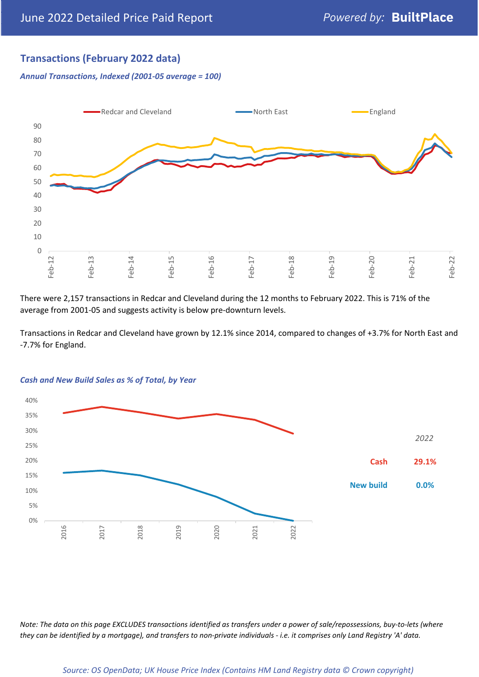# **Transactions (February 2022 data)**

*Annual Transactions, Indexed (2001-05 average = 100)*



There were 2,157 transactions in Redcar and Cleveland during the 12 months to February 2022. This is 71% of the average from 2001-05 and suggests activity is below pre-downturn levels.

Transactions in Redcar and Cleveland have grown by 12.1% since 2014, compared to changes of +3.7% for North East and -7.7% for England.



### *Cash and New Build Sales as % of Total, by Year*

*Note: The data on this page EXCLUDES transactions identified as transfers under a power of sale/repossessions, buy-to-lets (where they can be identified by a mortgage), and transfers to non-private individuals - i.e. it comprises only Land Registry 'A' data.*